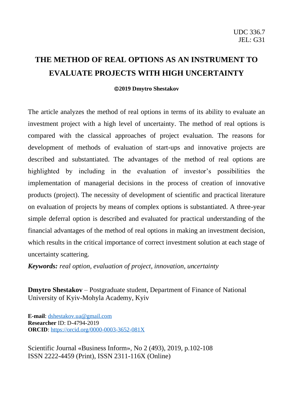# **THE METHOD OF REAL OPTIONS AS AN INSTRUMENT TO EVALUATE PROJECTS WITH HIGH UNCERTAINTY**

#### ©**2019 Dmytro Shestakov**

The article analyzes the method of real options in terms of its ability to evaluate an investment project with a high level of uncertainty. The method of real options is compared with the classical approaches of project evaluation. The reasons for development of methods of evaluation of start-ups and innovative projects are described and substantiated. The advantages of the method of real options are highlighted by including in the evaluation of investor's possibilities the implementation of managerial decisions in the process of creation of innovative products (project). The necessity of development of scientific and practical literature on evaluation of projects by means of complex options is substantiated. A three-year simple deferral option is described and evaluated for practical understanding of the financial advantages of the method of real options in making an investment decision, which results in the critical importance of correct investment solution at each stage of uncertainty scattering.

*Keywords: real option, evaluation of project, innovation, uncertainty*

**Dmytro Shestakov** – Postgraduate student, Department of Finance of National University of Kyiv-Mohyla Academy, Kyiv

**E-mail**: [dshestakov.ua@gmail.com](mailto:dshestakov.ua@gmail.com) **Researcher** ID: D-4794-2019 **ORCID**: <https://orcid.org/0000-0003-3652-081X>

Scientific Journal «Business Inform», No 2 (493), 2019, p.102-108 ISSN 2222-4459 (Print), ISSN 2311-116X (Online)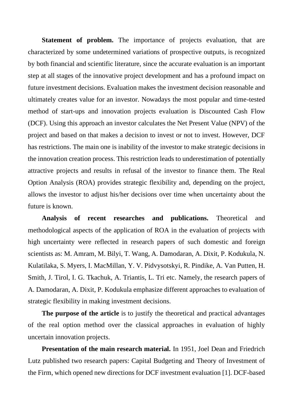**Statement of problem.** The importance of projects evaluation, that are characterized by some undetermined variations of prospective outputs, is recognized by both financial and scientific literature, since the accurate evaluation is an important step at all stages of the innovative project development and has a profound impact on future investment decisions. Evaluation makes the investment decision reasonable and ultimately creates value for an investor. Nowadays the most popular and time-tested method of start-ups and innovation projects evaluation is Discounted Cash Flow (DCF). Using this approach an investor calculates the Net Present Value (NPV) of the project and based on that makes a decision to invest or not to invest. However, DCF has restrictions. The main one is inability of the investor to make strategic decisions in the innovation creation process. This restriction leads to underestimation of potentially attractive projects and results in refusal of the investor to finance them. The Real Option Analysis (ROA) provides strategic flexibility and, depending on the project, allows the investor to adjust his/her decisions over time when uncertainty about the future is known.

**Analysis of recent researches and publications.** Theoretical and methodological aspects of the application of ROA in the evaluation of projects with high uncertainty were reflected in research papers of such domestic and foreign scientists as: M. Amram, M. Bilyi, T. Wang, A. Damodaran, A. Dixit, P. Kodukula, N. Kulatilaka, S. Myers, I. MacMillan, Y. V. Pidvysotskyi, R. Pindike, A. Van Putten, H. Smith, J. Tirol, I. G. Tkachuk, A. Triantis, L. Tri etc. Namely, the research papers of A. Damodaran, A. Dixit, P. Kodukula emphasize different approaches to evaluation of strategic flexibility in making investment decisions.

**The purpose of the article** is to justify the theoretical and practical advantages of the real option method over the classical approaches in evaluation of highly uncertain innovation projects.

**Presentation of the main research material.** In 1951, Joel Dean and Friedrich Lutz published two research papers: Capital Budgeting and Theory of Investment of the Firm, which opened new directions for DCF investment evaluation [1]. DCF-based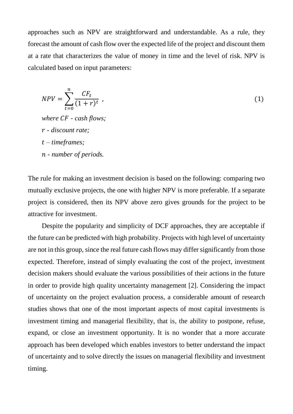approaches such as NPV are straightforward and understandable. As a rule, they forecast the amount of cash flow over the expected life of the project and discount them at a rate that characterizes the value of money in time and the level of risk. NPV is calculated based on input parameters:

$$
NPV = \sum_{t=0}^{n} \frac{CF_t}{(1+r)^t} \tag{1}
$$

*where - cash flows; - discount rate; – timeframes; - number of periods.*

The rule for making an investment decision is based on the following: comparing two mutually exclusive projects, the one with higher NPV is more preferable. If a separate project is considered, then its NPV above zero gives grounds for the project to be attractive for investment.

Despite the popularity and simplicity of DCF approaches, they are acceptable if the future can be predicted with high probability. Projects with high level of uncertainty are not in this group, since the real future cash flows may differ significantly from those expected. Therefore, instead of simply evaluating the cost of the project, investment decision makers should evaluate the various possibilities of their actions in the future in order to provide high quality uncertainty management [2]. Considering the impact of uncertainty on the project evaluation process, a considerable amount of research studies shows that one of the most important aspects of most capital investments is investment timing and managerial flexibility, that is, the ability to postpone, refuse, expand, or close an investment opportunity. It is no wonder that a more accurate approach has been developed which enables investors to better understand the impact of uncertainty and to solve directly the issues on managerial flexibility and investment timing.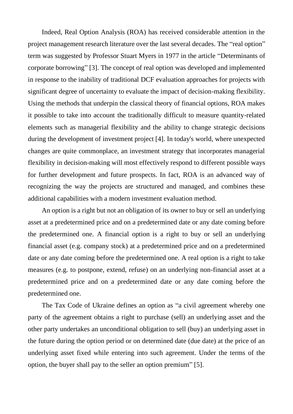Indeed, Real Option Analysis (ROA) has received considerable attention in the project management research literature over the last several decades. The "real option" term was suggested by Professor Stuart Myers in 1977 in the article "Determinants of corporate borrowing" [3]. The concept of real option was developed and implemented in response to the inability of traditional DCF evaluation approaches for projects with significant degree of uncertainty to evaluate the impact of decision-making flexibility. Using the methods that underpin the classical theory of financial options, ROA makes it possible to take into account the traditionally difficult to measure quantity-related elements such as managerial flexibility and the ability to change strategic decisions during the development of investment project [4]. In today's world, where unexpected changes are quite commonplace, an investment strategy that incorporates managerial flexibility in decision-making will most effectively respond to different possible ways for further development and future prospects. In fact, ROA is an advanced way of recognizing the way the projects are structured and managed, and combines these additional capabilities with a modern investment evaluation method.

An option is a right but not an obligation of its owner to buy or sell an underlying asset at a predetermined price and on a predetermined date or any date coming before the predetermined one. A financial option is a right to buy or sell an underlying financial asset (e.g. company stock) at a predetermined price and on a predetermined date or any date coming before the predetermined one. A real option is a right to take measures (e.g. to postpone, extend, refuse) on an underlying non-financial asset at a predetermined price and on a predetermined date or any date coming before the predetermined one.

The Tax Code of Ukraine defines an option as "a civil agreement whereby one party of the agreement obtains a right to purchase (sell) an underlying asset and the other party undertakes an unconditional obligation to sell (buy) an underlying asset in the future during the option period or on determined date (due date) at the price of an underlying asset fixed while entering into such agreement. Under the terms of the option, the buyer shall pay to the seller an option premium" [5].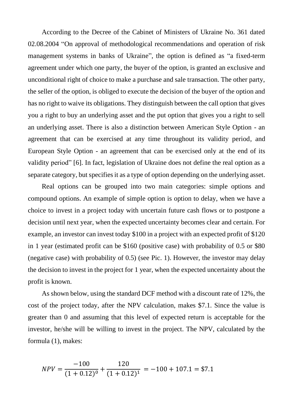According to the Decree of the Cabinet of Ministers of Ukraine No. 361 dated 02.08.2004 "On approval of methodological recommendations and operation of risk management systems in banks of Ukraine", the option is defined as "a fixed-term agreement under which one party, the buyer of the option, is granted an exclusive and unconditional right of choice to make a purchase and sale transaction. The other party, the seller of the option, is obliged to execute the decision of the buyer of the option and has no right to waive its obligations. They distinguish between the call option that gives you a right to buy an underlying asset and the put option that gives you a right to sell an underlying asset. There is also a distinction between American Style Option - an agreement that can be exercised at any time throughout its validity period, and European Style Option - an agreement that can be exercised only at the end of its validity period" [6]. In fact, legislation of Ukraine does not define the real option as a separate category, but specifies it as a type of option depending on the underlying asset.

Real options can be grouped into two main categories: simple options and compound options. An example of simple option is option to delay, when we have a choice to invest in a project today with uncertain future cash flows or to postpone a decision until next year, when the expected uncertainty becomes clear and certain. For example, an investor can invest today \$100 in a project with an expected profit of \$120 in 1 year (estimated profit can be \$160 (positive case) with probability of 0.5 or \$80 (negative case) with probability of 0.5) (see Pic. 1). However, the investor may delay the decision to invest in the project for 1 year, when the expected uncertainty about the profit is known.

As shown below, using the standard DCF method with a discount rate of 12%, the cost of the project today, after the NPV calculation, makes \$7.1. Since the value is greater than 0 and assuming that this level of expected return is acceptable for the investor, he/she will be willing to invest in the project. The NPV, calculated by the formula (1), makes:

$$
NPV = \frac{-100}{(1+0.12)^0} + \frac{120}{(1+0.12)^1} = -100 + 107.1 = $7.1
$$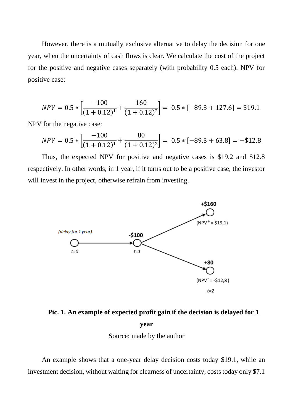However, there is a mutually exclusive alternative to delay the decision for one year, when the uncertainty of cash flows is clear. We calculate the cost of the project for the positive and negative cases separately (with probability 0.5 each). NPV for positive case:

$$
NPV = 0.5 * \left[ \frac{-100}{(1 + 0.12)^1} + \frac{160}{(1 + 0.12)^2} \right] = 0.5 * [-89.3 + 127.6] = $19.1
$$

NPV for the negative case:

$$
NPV = 0.5 * \left[ \frac{-100}{(1 + 0.12)^1} + \frac{80}{(1 + 0.12)^2} \right] = 0.5 * [-89.3 + 63.8] = -\$12.8
$$

Thus, the expected NPV for positive and negative cases is \$19.2 and \$12.8 respectively. In other words, in 1 year, if it turns out to be a positive case, the investor will invest in the project, otherwise refrain from investing.



# **Pic. 1. An example of expected profit gain if the decision is delayed for 1 year**

Source: made by the author

An example shows that a one-year delay decision costs today \$19.1, while an investment decision, without waiting for clearness of uncertainty, costs today only \$7.1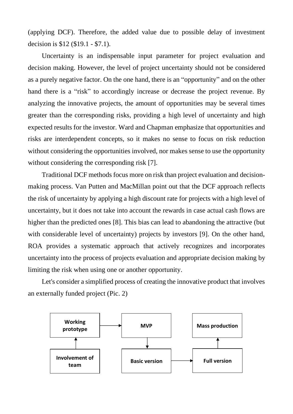(applying DCF). Therefore, the added value due to possible delay of investment decision is \$12 (\$19.1 - \$7.1).

Uncertainty is an indispensable input parameter for project evaluation and decision making. However, the level of project uncertainty should not be considered as a purely negative factor. On the one hand, there is an "opportunity" and on the other hand there is a "risk" to accordingly increase or decrease the project revenue. By analyzing the innovative projects, the amount of opportunities may be several times greater than the corresponding risks, providing a high level of uncertainty and high expected results for the investor. Ward and Chapman emphasize that opportunities and risks are interdependent concepts, so it makes no sense to focus on risk reduction without considering the opportunities involved, nor makes sense to use the opportunity without considering the corresponding risk [7].

Traditional DCF methods focus more on risk than project evaluation and decisionmaking process. Van Putten and MacMillan point out that the DCF approach reflects the risk of uncertainty by applying a high discount rate for projects with a high level of uncertainty, but it does not take into account the rewards in case actual cash flows are higher than the predicted ones [8]. This bias can lead to abandoning the attractive (but with considerable level of uncertainty) projects by investors [9]. On the other hand, ROA provides a systematic approach that actively recognizes and incorporates uncertainty into the process of projects evaluation and appropriate decision making by limiting the risk when using one or another opportunity.

Let's consider a simplified process of creating the innovative product that involves an externally funded project (Pic. 2)

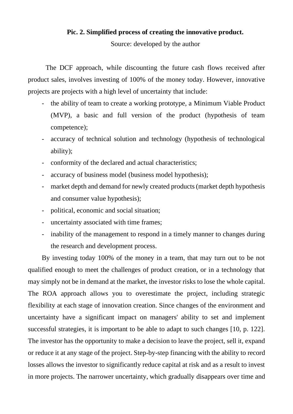## **Pic. 2. Simplified process of creating the innovative product.**

Source: developed by the author

The DCF approach, while discounting the future cash flows received after product sales, involves investing of 100% of the money today. However, innovative projects are projects with a high level of uncertainty that include:

- the ability of team to create a working prototype, a Minimum Viable Product (MVP), a basic and full version of the product (hypothesis of team competence);
- accuracy of technical solution and technology (hypothesis of technological ability);
- conformity of the declared and actual characteristics;
- accuracy of business model (business model hypothesis);
- market depth and demand for newly created products (market depth hypothesis and consumer value hypothesis);
- political, economic and social situation;
- uncertainty associated with time frames;
- inability of the management to respond in a timely manner to changes during the research and development process.

By investing today 100% of the money in a team, that may turn out to be not qualified enough to meet the challenges of product creation, or in a technology that may simply not be in demand at the market, the investor risks to lose the whole capital. The ROA approach allows you to overestimate the project, including strategic flexibility at each stage of innovation creation. Since changes of the environment and uncertainty have a significant impact on managers' ability to set and implement successful strategies, it is important to be able to adapt to such changes [10, p. 122]. The investor has the opportunity to make a decision to leave the project, sell it, expand or reduce it at any stage of the project. Step-by-step financing with the ability to record losses allows the investor to significantly reduce capital at risk and as a result to invest in more projects. The narrower uncertainty, which gradually disappears over time and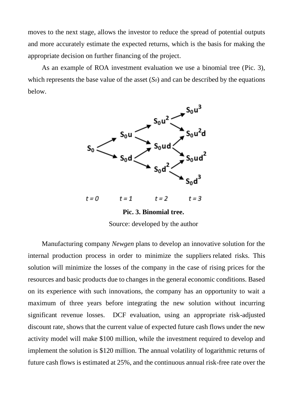moves to the next stage, allows the investor to reduce the spread of potential outputs and more accurately estimate the expected returns, which is the basis for making the appropriate decision on further financing of the project.

As an example of ROA investment evaluation we use a binomial tree (Pic. 3), which represents the base value of the asset (*S0*) and can be described by the equations below.



**Pic. 3. Binomial tree.**  Source: developed by the author

Manufacturing company *Newgen* plans to develop an innovative solution for the internal production process in order to minimize the suppliers related risks. This solution will minimize the losses of the company in the case of rising prices for the resources and basic products due to changes in the general economic conditions. Based on its experience with such innovations, the company has an opportunity to wait a maximum of three years before integrating the new solution without incurring significant revenue losses. DCF evaluation, using an appropriate risk-adjusted discount rate, shows that the current value of expected future cash flows under the new activity model will make \$100 million, while the investment required to develop and implement the solution is \$120 million. The annual volatility of logarithmic returns of future cash flows is estimated at 25%, and the continuous annual risk-free rate over the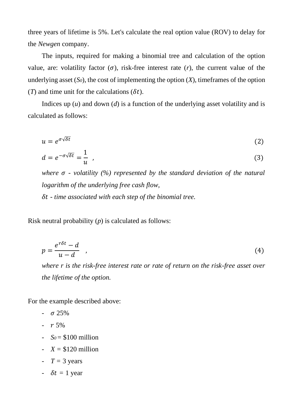three years of lifetime is 5%. Let's calculate the real option value (ROV) to delay for the *Newgen* company.

The inputs, required for making a binomial tree and calculation of the option value, are: volatility factor  $(\sigma)$ , risk-free interest rate  $(r)$ , the current value of the underlying asset  $(S_0)$ , the cost of implementing the option  $(X)$ , timeframes of the option (*T*) and time unit for the calculations ( $\delta t$ ).

Indices up  $(u)$  and down  $(d)$  is a function of the underlying asset volatility and is calculated as follows:

$$
u = e^{\sigma \sqrt{\delta t}} \tag{2}
$$

$$
d = e^{-\sigma\sqrt{\delta t}} = \frac{1}{u} \quad , \tag{3}
$$

*where*  $\sigma$  *- volatility* (%) represented by the standard deviation of the natural *logarithm of the underlying free cash flow, - time associated with each step of the binomial tree.*

Risk neutral probability (*p*) is calculated as follows:

$$
p = \frac{e^{r\delta t} - d}{u - d} \quad , \tag{4}
$$

*where r is the risk-free interest rate or rate of return on the risk-free asset over the lifetime of the option.*

For the example described above:

- $\sigma 25\%$
- $r 5\%$
- $So = $100$  million
- $X = $120$  million
- $T = 3$  years
- $\delta t = 1$  year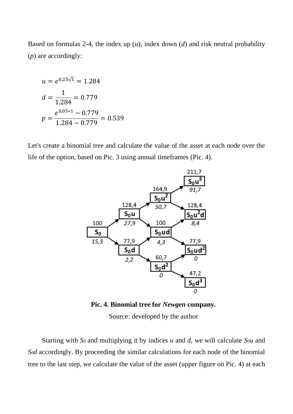Based on formulas 2-4, the index up (*u*), index down (*d*) and risk neutral probability (*p*) are accordingly:

$$
u = e^{0.25\sqrt{1}} = 1.284
$$

$$
d = \frac{1}{1.284} = 0.779
$$

$$
p = \frac{e^{0.05 \times 1} - 0.779}{1.284 - 0.779} = 0.539
$$

Let's create a binomial tree and calculate the value of the asset at each node over the life of the option, based on Pic. 3 using annual timeframes (Pic. 4).



**Pic. 4. Binomial tree for** *Newgen* **company***.* 

Source: developed by the author

Starting with *S<sup>0</sup>* and multiplying it by indices *u* and *d*, we will calculate *S0u* and *S0d* accordingly. By proceeding the similar calculations for each node of the binomial tree to the last step, we calculate the value of the asset (upper figure on Pic. 4) at each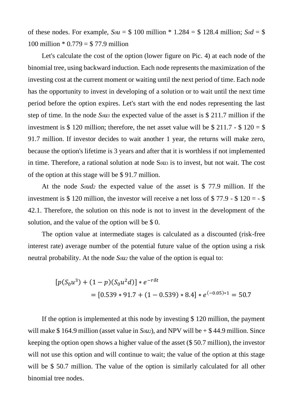of these nodes. For example,  $S_0u = $100$  million \* 1.284 = \$128.4 million;  $S_0d = $$ 100 million  $* 0.779 = $ 77.9$  million

Let's calculate the cost of the option (lower figure on Pic. 4) at each node of the binomial tree, using backward induction. Each node represents the maximization of the investing cost at the current moment or waiting until the next period of time. Each node has the opportunity to invest in developing of a solution or to wait until the next time period before the option expires. Let's start with the end nodes representing the last step of time. In the node *S0u<sup>3</sup>* the expected value of the asset is \$ 211.7 million if the investment is \$ 120 million; therefore, the net asset value will be \$ 211.7 - \$ 120 = \$ 91.7 million. If investor decides to wait another 1 year, the returns will make zero, because the option's lifetime is 3 years and after that it is worthless if not implemented in time. Therefore, a rational solution at node Sou<sub>3</sub> is to invest, but not wait. The cost of the option at this stage will be \$ 91.7 million.

At the node *S0ud<sup>2</sup>* the expected value of the asset is \$ 77.9 million. If the investment is \$ 120 million, the investor will receive a net loss of  $$77.9 - $120 = - $$ 42.1. Therefore, the solution on this node is not to invest in the development of the solution, and the value of the option will be \$ 0.

The option value at intermediate stages is calculated as a discounted (risk-free interest rate) average number of the potential future value of the option using a risk neutral probability. At the node *S0u<sup>2</sup>* the value of the option is equal to:

$$
[p(S_0u^3) + (1-p)(S_0u^2d)] * e^{-r\delta t}
$$
  
= [0.539 \* 91.7 + (1 – 0.539) \* 8.4] \* e<sup>(-0.05)\*1</sup> = 50.7

If the option is implemented at this node by investing \$ 120 million, the payment will make \$164.9 million (asset value in *Sou*<sub>2</sub>), and NPV will be  $+$  \$44.9 million. Since keeping the option open shows a higher value of the asset (\$ 50.7 million), the investor will not use this option and will continue to wait; the value of the option at this stage will be \$50.7 million. The value of the option is similarly calculated for all other binomial tree nodes.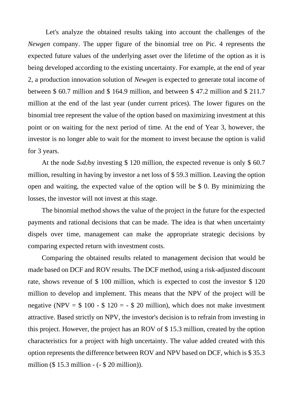Let's analyze the obtained results taking into account the challenges of the *Newgen* company. The upper figure of the binomial tree on Pic. 4 represents the expected future values of the underlying asset over the lifetime of the option as it is being developed according to the existing uncertainty. For example, at the end of year 2, a production innovation solution of *Newgen* is expected to generate total income of between \$ 60.7 million and \$ 164.9 million, and between \$ 47.2 million and \$ 211.7 million at the end of the last year (under current prices). The lower figures on the binomial tree represent the value of the option based on maximizing investment at this point or on waiting for the next period of time. At the end of Year 3, however, the investor is no longer able to wait for the moment to invest because the option is valid for 3 years.

At the node *S0d2*by investing \$ 120 million, the expected revenue is only \$ 60.7 million, resulting in having by investor a net loss of \$ 59.3 million. Leaving the option open and waiting, the expected value of the option will be \$ 0. By minimizing the losses, the investor will not invest at this stage.

The binomial method shows the value of the project in the future for the expected payments and rational decisions that can be made. The idea is that when uncertainty dispels over time, management can make the appropriate strategic decisions by comparing expected return with investment costs.

Comparing the obtained results related to management decision that would be made based on DCF and ROV results. The DCF method, using a risk-adjusted discount rate, shows revenue of \$ 100 million, which is expected to cost the investor \$ 120 million to develop and implement. This means that the NPV of the project will be negative (NPV =  $$100 - $120 = - $20$  million), which does not make investment attractive. Based strictly on NPV, the investor's decision is to refrain from investing in this project. However, the project has an ROV of \$ 15.3 million, created by the option characteristics for a project with high uncertainty. The value added created with this option represents the difference between ROV and NPV based on DCF, which is \$ 35.3 million (\$ 15.3 million - (- \$ 20 million)).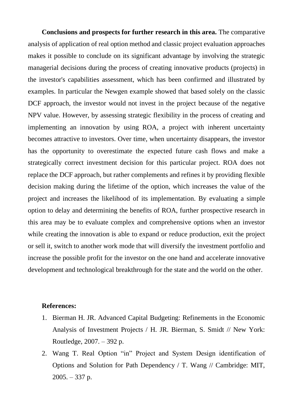**Conclusions and prospects for further research in this area.** The comparative analysis of application of real option method and classic project evaluation approaches makes it possible to conclude on its significant advantage by involving the strategic managerial decisions during the process of creating innovative products (projects) in the investor's capabilities assessment, which has been confirmed and illustrated by examples. In particular the Newgen example showed that based solely on the classic DCF approach, the investor would not invest in the project because of the negative NPV value. However, by assessing strategic flexibility in the process of creating and implementing an innovation by using ROA, a project with inherent uncertainty becomes attractive to investors. Over time, when uncertainty disappears, the investor has the opportunity to overestimate the expected future cash flows and make a strategically correct investment decision for this particular project. ROA does not replace the DCF approach, but rather complements and refines it by providing flexible decision making during the lifetime of the option, which increases the value of the project and increases the likelihood of its implementation. By evaluating a simple option to delay and determining the benefits of ROA, further prospective research in this area may be to evaluate complex and comprehensive options when an investor while creating the innovation is able to expand or reduce production, exit the project or sell it, switch to another work mode that will diversify the investment portfolio and increase the possible profit for the investor on the one hand and accelerate innovative development and technological breakthrough for the state and the world on the other.

### **References:**

- 1. Bierman H. JR. Advanced Capital Budgeting: Refinements in the Economic Analysis of Investment Projects / H. JR. Bierman, S. Smidt // New York: Routledge, 2007. – 392 p.
- 2. Wang T. Real Option "in" Project and System Design identification of Options and Solution for Path Dependency / T. Wang // Cambridge: MIT,  $2005. - 337$  p.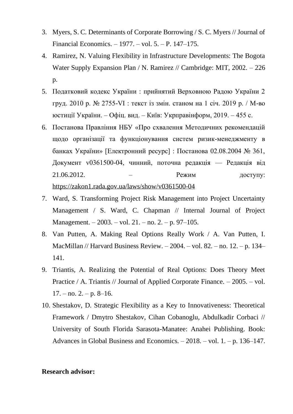- 3. Myers, S. C. Determinants of Corporate Borrowing / S. C. Myers // Journal of Financial Economics. – 1977. – vol. 5. – P. 147–175.
- 4. Ramirez, N. Valuing Flexibility in Infrastructure Developments: The Bogota Water Supply Expansion Plan / N. Ramirez // Cambridge: MIT, 2002. – 226 p.
- 5. Податковий кодекс України : прийнятий Верховною Радою України 2 груд. 2010 р. № 2755-VI : текст із змін. станом на 1 січ. 2019 р. / М-во юстиції України. – Офіц. вид. – Київ: Укрправінформ, 2019. – 455 с.
- 6. Постанова Правління НБУ «Про схвалення Методичних рекомендацій щодо організації та функціонування систем ризик-менеджменту в банках України» [Електронний ресурс] : Постанова 02.08.2004 № 361, Документ v0361500-04, чинний, поточна редакція — Редакція від 21.06.2012. – Режим доступу: <https://zakon1.rada.gov.ua/laws/show/v0361500-04>
- 7. Ward, S. Transforming Project Risk Management into Project Uncertainty Management / S. Ward, C. Chapman // Internal Journal of Project Management. – 2003. – vol. 21. – no. 2. – p. 97–105.
- 8. Van Putten, A. Making Real Options Really Work / A. Van Putten, I. MacMillan // Harvard Business Review. – 2004. – vol. 82. – no. 12. – p. 134– 141.
- 9. Triantis, A. Realizing the Potential of Real Options: Does Theory Meet Practice / A. Triantis // Journal of Applied Corporate Finance. – 2005. – vol.  $17. -$  no.  $2. -$  p.  $8-16$ .
- 10. Shestakov, D. Strategic Flexibility as a Key to Innovativeness: Theoretical Framework / Dmytro Shestakov, Cihan Cobanoglu, Abdulkadir Corbaci // University of South Florida Sarasota-Manatee: Anahei Publishing. Book: Advances in Global Business and Economics. – 2018. – vol. 1. – p. 136–147.

### **Research advisor:**